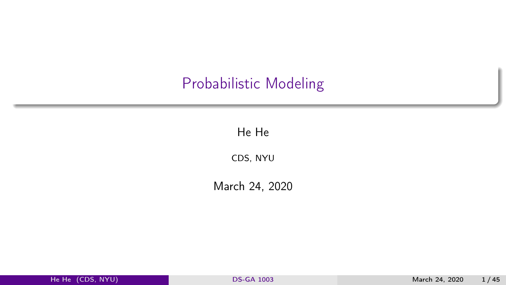## <span id="page-0-0"></span>Probabilistic Modeling

He He

CDS, NYU

March 24, 2020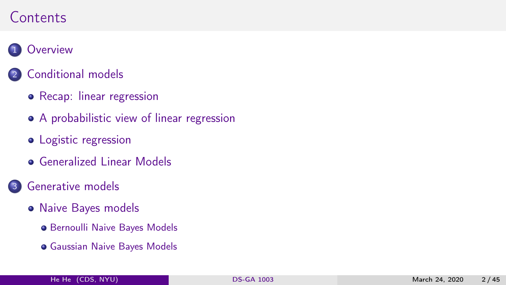#### **Contents**

#### 1 [Overview](#page-3-0)

#### 2 [Conditional models](#page-6-0)

- [Recap: linear regression](#page-7-0)
- [A probabilistic view of linear regression](#page-11-0)
- [Logistic regression](#page-16-0)
- **[Generalized Linear Models](#page-21-0)**
- 3 [Generative models](#page-28-0)
	- [Naive Bayes models](#page-31-0)
		- **[Bernoulli Naive Bayes Models](#page-31-0)**
		- [Gaussian Naive Bayes Models](#page-37-0)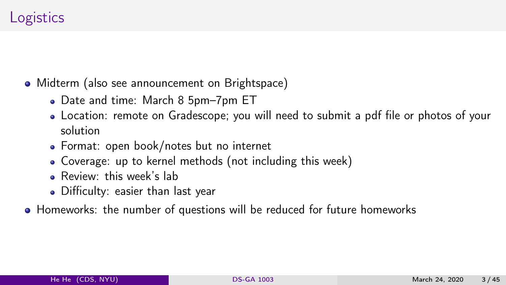## **Logistics**

- Midterm (also see announcement on Brightspace)
	- Date and time: March 8 5pm-7pm ET
	- Location: remote on Gradescope; you will need to submit a pdf file or photos of your solution
	- Format: open book/notes but no internet
	- Coverage: up to kernel methods (not including this week)
	- **e** Review: this week's lab
	- Difficulty: easier than last year
- Homeworks: the number of questions will be reduced for future homeworks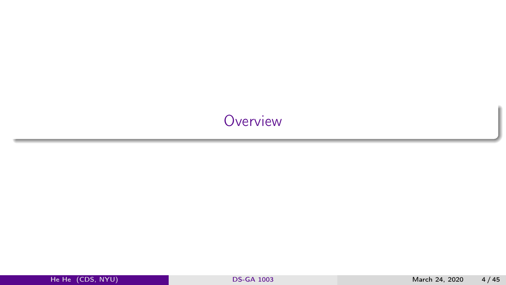## <span id="page-3-0"></span>**[Overview](#page-3-0)**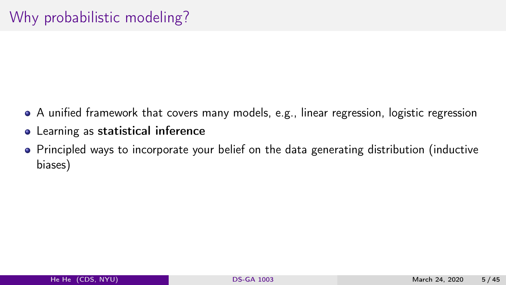- A unified framework that covers many models, e.g., linear regression, logistic regression
- Learning as statistical inference
- Principled ways to incorporate your belief on the data generating distribution (inductive biases)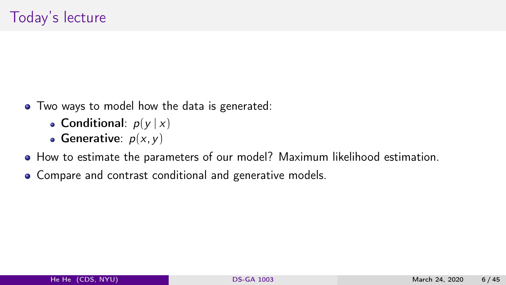- Two ways to model how the data is generated:
	- Conditional:  $p(y|x)$
	- Generative:  $p(x, y)$
- How to estimate the parameters of our model? Maximum likelihood estimation.
- Compare and contrast conditional and generative models.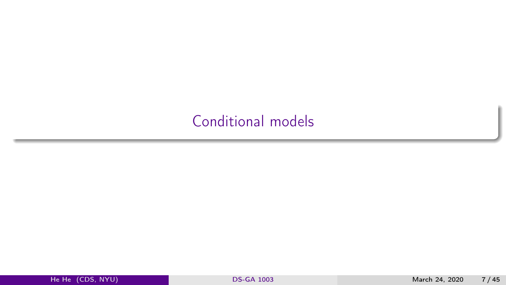## <span id="page-6-0"></span>[Conditional models](#page-6-0)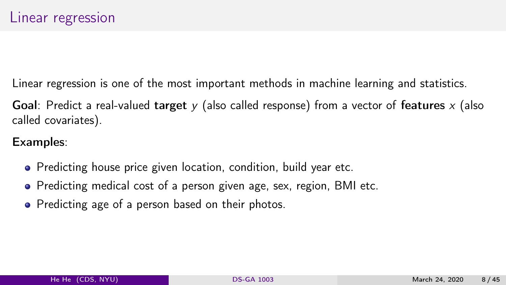<span id="page-7-0"></span>Linear regression is one of the most important methods in machine learning and statistics.

Goal: Predict a real-valued target  $\gamma$  (also called response) from a vector of features x (also called covariates).

#### Examples:

- Predicting house price given location, condition, build year etc.
- Predicting medical cost of a person given age, sex, region, BMI etc.
- Predicting age of a person based on their photos.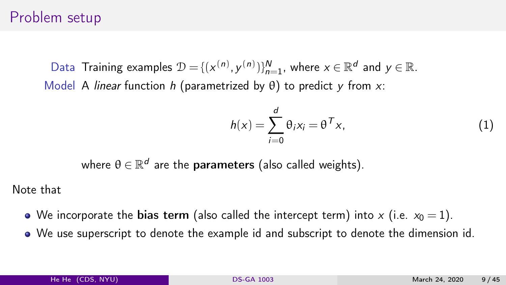#### Problem setup

Data Training examples  $\mathcal{D} = \{(x^{(n)}, y^{(n)})\}_{n=1}^N$ , where  $x \in \mathbb{R}^d$  and  $y \in \mathbb{R}$ . Model A linear function h (parametrized by  $\theta$ ) to predict y from x:

$$
h(x) = \sum_{i=0}^{d} \theta_i x_i = \theta^T x,
$$
 (1)

where  $\theta \in \mathbb{R}^d$  are the **parameters** (also called weights).

Note that

- We incorporate the bias term (also called the intercept term) into x (i.e.  $x_0 = 1$ ).
- We use superscript to denote the example id and subscript to denote the dimension id.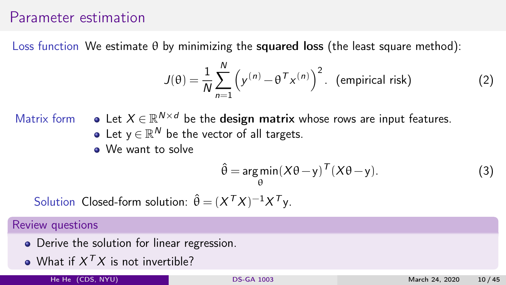#### Parameter estimation

Loss function We estimate  $\theta$  by minimizing the squared loss (the least square method):

$$
J(\theta) = \frac{1}{N} \sum_{n=1}^{N} \left( y^{(n)} - \theta^{T} x^{(n)} \right)^2.
$$
 (empirical risk) (2)

- Matrix form  $\bullet$  Let  $X \in \mathbb{R}^{N \times d}$  be the design matrix whose rows are input features. Let  $y \in \mathbb{R}^N$  be the vector of all targets.
	- We want to solve

$$
\hat{\theta} = \underset{\theta}{\arg\min} (X\theta - y)^T (X\theta - y). \tag{3}
$$

Solution Closed-form solution:  $\hat{\theta} = (X^T X)^{-1} X^T y$ .

#### Review questions

- Derive the solution for linear regression.
- What if  $X^{\mathcal{T}}X$  is not invertible?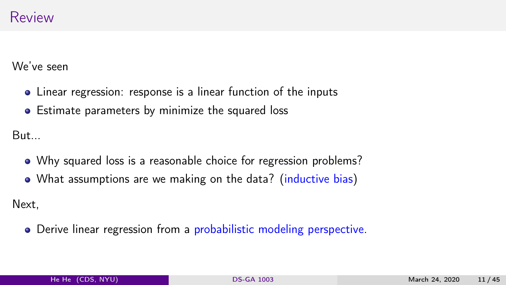We've seen

- Linear regression: response is a linear function of the inputs
- Estimate parameters by minimize the squared loss

But...

- Why squared loss is a reasonable choice for regression problems?
- What assumptions are we making on the data? (inductive bias)

Next,

Derive linear regression from a probabilistic modeling perspective.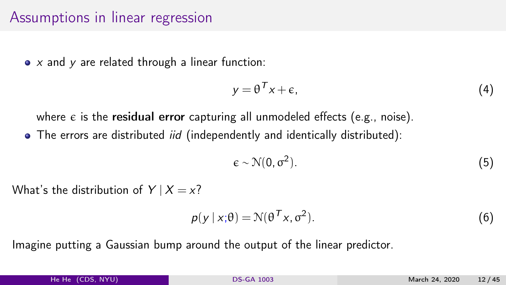#### <span id="page-11-0"></span>Assumptions in linear regression

 $\bullet$  x and y are related through a linear function:

$$
y = \theta^T x + \epsilon, \tag{4}
$$

where  $\epsilon$  is the residual error capturing all unmodeled effects (e.g., noise). • The errors are distributed *iid* (independently and identically distributed):

$$
\epsilon \sim \mathcal{N}(0, \sigma^2). \tag{5}
$$

What's the distribution of  $Y | X = x?$ 

$$
p(y \mid x; \theta) = \mathcal{N}(\theta^T x, \sigma^2). \tag{6}
$$

Imagine putting a Gaussian bump around the output of the linear predictor.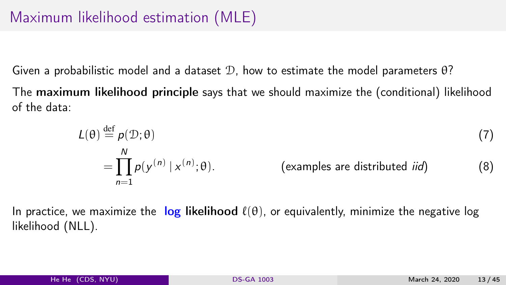Given a probabilistic model and a dataset  $\mathcal{D}$ , how to estimate the model parameters  $\theta$ ?

The maximum likelihood principle says that we should maximize the (conditional) likelihood of the data:

$$
L(\theta) \stackrel{\text{def}}{=} p(\mathcal{D}; \theta)
$$
  
= 
$$
\prod_{n=1}^{N} p(y^{(n)} | x^{(n)}; \theta).
$$
 (examples are distributed *iid*) (8)

In practice, we maximize the log likelihood  $\ell(\theta)$ , or equivalently, minimize the negative log likelihood (NLL).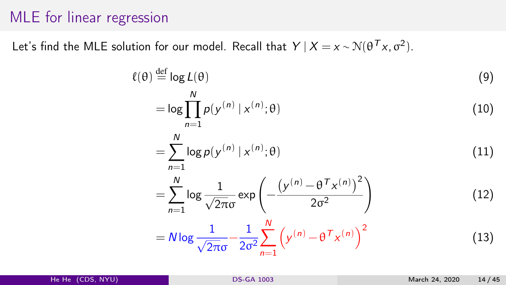#### MLE for linear regression

Let's find the MLE solution for our model. Recall that  $Y | X = x \sim \mathcal{N}(\theta^T x, \sigma^2)$ .

$$
\ell(\theta) \stackrel{\text{def}}{=} \log L(\theta) \tag{9}
$$
\n
$$
= \log \prod_{n=1}^{N} p(y^{(n)} | x^{(n)}; \theta) \tag{10}
$$
\n
$$
= \sum_{n=1}^{N} \log p(y^{(n)} | x^{(n)}; \theta) \tag{11}
$$
\n
$$
= \sum_{n=1}^{N} \log \frac{1}{\sqrt{2\pi}\sigma} \exp \left( -\frac{\left( y^{(n)} - \theta^{T} x^{(n)} \right)^{2}}{2\sigma^{2}} \right) \tag{12}
$$
\n
$$
= N \log \frac{1}{\sqrt{2\pi}\sigma} - \frac{1}{2\sigma^{2}} \sum_{n=1}^{N} \left( y^{(n)} - \theta^{T} x^{(n)} \right)^{2} \tag{13}
$$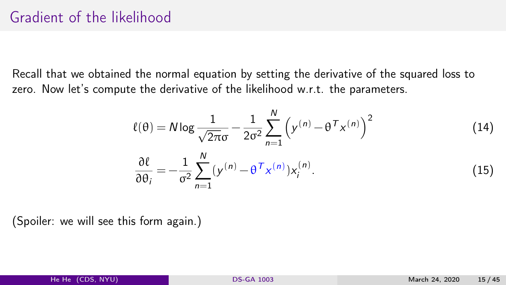Recall that we obtained the normal equation by setting the derivative of the squared loss to zero. Now let's compute the derivative of the likelihood w.r.t. the parameters.

$$
\ell(\theta) = N \log \frac{1}{\sqrt{2\pi}\sigma} - \frac{1}{2\sigma^2} \sum_{n=1}^{N} \left( y^{(n)} - \theta^T x^{(n)} \right)^2
$$
\n
$$
\frac{\partial \ell}{\partial \theta_i} = -\frac{1}{\sigma^2} \sum_{n=1}^{N} \left( y^{(n)} - \theta^T x^{(n)} \right) x_i^{(n)}.
$$
\n(15)

(Spoiler: we will see this form again.)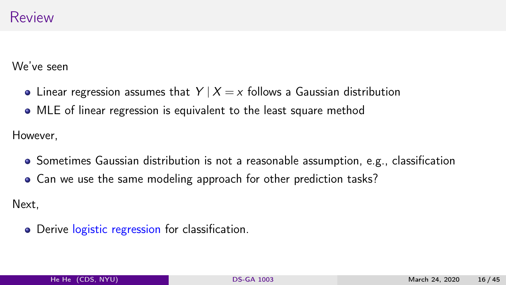We've seen

- Linear regression assumes that  $Y | X = x$  follows a Gaussian distribution
- MLE of linear regression is equivalent to the least square method

However,

- Sometimes Gaussian distribution is not a reasonable assumption, e.g., classification
- Can we use the same modeling approach for other prediction tasks?

Next,

• Derive logistic regression for classification.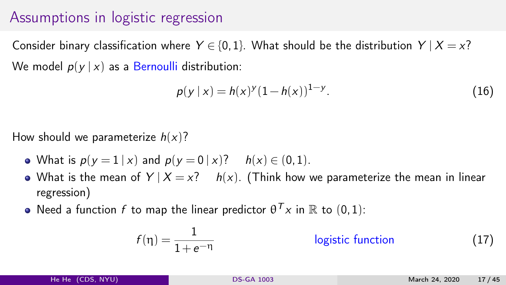## <span id="page-16-0"></span>Assumptions in logistic regression

Consider binary classification where  $Y \in \{0,1\}$ . What should be the distribution  $Y | X = x$ ? We model  $p(y | x)$  as a Bernoulli distribution:

$$
p(y \mid x) = h(x)^{y} (1 - h(x))^{1 - y}.
$$
 (16)

How should we parameterize  $h(x)$ ?

- What is  $p(y = 1 | x)$  and  $p(y = 0 | x)$ ?  $h(x) \in (0, 1)$ .
- What is the mean of  $Y | X = x$ ?  $h(x)$ . (Think how we parameterize the mean in linear regression)
- Need a function  $f$  to map the linear predictor  $\theta^{\mathcal{T}} x$  in  $\mathbb R$  to  $(0,1)$ :

$$
f(\eta) = \frac{1}{1 + e^{-\eta}}
$$
 logistic function (17)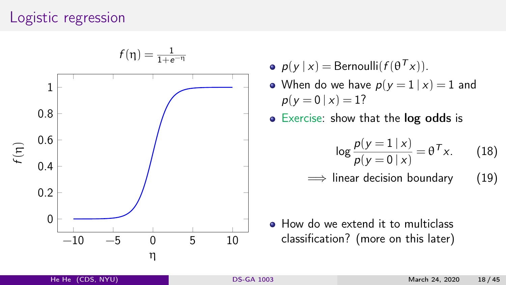#### Logistic regression



- $p(y | x) = \text{Bernoulli}(f(\theta^T x)).$
- When do we have  $p(y = 1 | x) = 1$  and  $p(y=0 | x) = 1?$
- Exercise: show that the log odds is

$$
\log \frac{p(y=1|x)}{p(y=0|x)} = \theta^T x. \qquad (18)
$$

 $\implies$  linear decision boundary (19)

• How do we extend it to multiclass classification? (more on this later)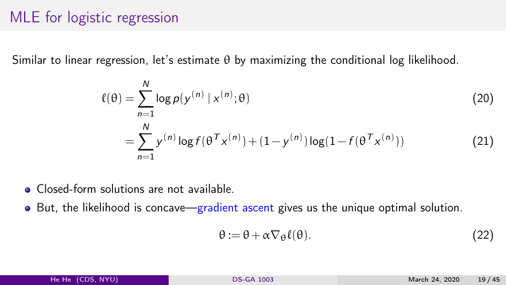## MLE for logistic regression

Similar to linear regression, let's estimate θ by maximizing the conditional log likelihood.

$$
\ell(\theta) = \sum_{n=1}^{N} \log p(y^{(n)} | x^{(n)}; \theta)
$$
  
= 
$$
\sum_{n=1}^{N} y^{(n)} \log f(\theta^{T} x^{(n)}) + (1 - y^{(n)}) \log(1 - f(\theta^{T} x^{(n)}))
$$
 (21)

- **Closed-form solutions are not available.**
- $\bullet$  But, the likelihood is concave—gradient ascent gives us the unique optimal solution.

$$
\theta := \theta + \alpha \nabla_{\theta} \ell(\theta). \tag{22}
$$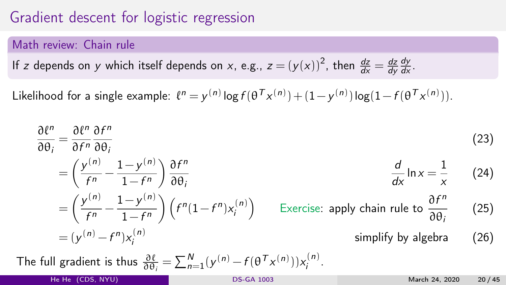## Gradient descent for logistic regression

#### Math review: Chain rule

If z depends on y which itself depends on x, e.g., 
$$
z = (y(x))^2
$$
, then  $\frac{dz}{dx} = \frac{dz}{dy}\frac{dy}{dx}$ .

Likelihood for a single example:  $\ell^n = y^{(n)} \log f(\theta^T x^{(n)}) + (1 - y^{(n)}) \log(1 - f(\theta^T x^{(n)})).$ 

$$
\frac{\partial \ell^n}{\partial \theta_i} = \frac{\partial \ell^n}{\partial f^n} \frac{\partial f^n}{\partial \theta_i}
$$
\n
$$
= \left(\frac{y^{(n)}}{f^n} - \frac{1 - y^{(n)}}{1 - f^n}\right) \frac{\partial f^n}{\partial \theta_i}
$$
\n
$$
= \left(\frac{y^{(n)}}{f^n} - \frac{1 - y^{(n)}}{1 - f^n}\right) \left(f^n(1 - f^n)x_i^{(n)}\right)
$$
\n
$$
= (y^{(n)} - f^n)x_i^{(n)}
$$
\n
$$
= (y^{(n)} - f^n)x_i^{(n)}
$$
\n
$$
= \sum_{n=1}^N (y^{(n)} - f(\theta^T x_n^{(n)}))x_i^{(n)}.
$$
\nThe full gradient is thus\n
$$
\frac{\partial \ell}{\partial \theta_i} = \sum_{n=1}^N (y^{(n)} - f(\theta^T x_n^{(n)}))x_i^{(n)}.
$$
\n
$$
= \sum_{n=1}^N (y^{(n)} - f(\theta^T x_n^{(n)}))x_i^{(n)}.
$$
\n
$$
= \sum_{n=1}^N (y^{(n)} - f(\theta^T x_n^{(n)}))x_i^{(n)}.
$$
\n
$$
= \sum_{n=1}^N (y^{(n)} - f(\theta^T x_n^{(n)}))x_i^{(n)}.
$$
\n
$$
= \sum_{n=1}^N (y^{(n)} - f(\theta^T x_n^{(n)}))x_i^{(n)}.
$$
\n
$$
= \sum_{n=1}^N (y^{(n)} - f(\theta^T x_n^{(n)}))x_i^{(n)}.
$$
\n
$$
= \sum_{n=1}^N (y^{(n)} - f(\theta^T x_n^{(n)}))x_i^{(n)}.
$$
\n
$$
= \sum_{n=1}^N (y^{(n)} - f(\theta^T x_n^{(n)}))x_i^{(n)}.
$$
\n
$$
= \sum_{n=1}^N (y^{(n)} - f(\theta^T x_n^{(n)}))x_i^{(n)}.
$$
\n
$$
= \sum_{n=1}^N (y^{(n)} - f(\theta^T x_n^{(n)}))x_i^{(n)}.
$$
\n
$$
= \sum_{n=1}^N (y^{(n)} - f(\theta^T x_n^{(n)}))x_i
$$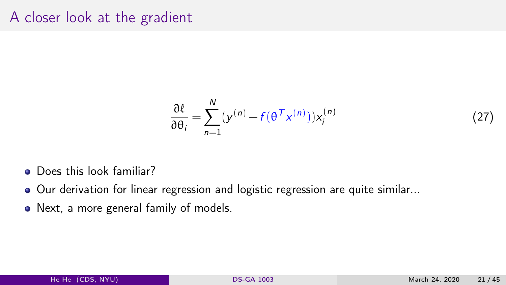#### A closer look at the gradient

$$
\frac{\partial \ell}{\partial \theta_i} = \sum_{n=1}^{N} (y^{(n)} - f(\theta^T x^{(n)})) x_i^{(n)}
$$
(27)

- **Q** Does this look familiar?
- Our derivation for linear regression and logistic regression are quite similar...
- Next, a more general family of models.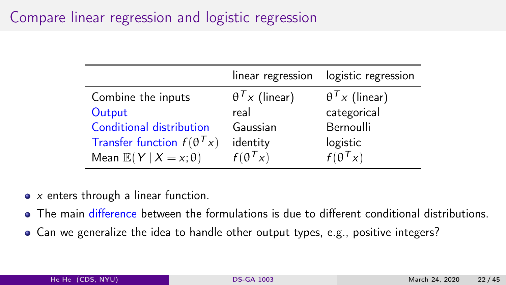## <span id="page-21-0"></span>Compare linear regression and logistic regression

|                                      | linear regression     | logistic regression   |
|--------------------------------------|-----------------------|-----------------------|
| Combine the inputs                   | $\theta^T x$ (linear) | $\theta^T x$ (linear) |
| Output                               | real                  | categorical           |
| Conditional distribution             | Gaussian              | Bernoulli             |
| Transfer function $f(\theta^Tx)$     | identity              | logistic              |
| Mean $\mathbb{E}(Y   X = x; \theta)$ | $f(\theta^Tx)$        | $f(\theta^Tx)$        |

- $\bullet$  x enters through a linear function.
- The main difference between the formulations is due to different conditional distributions.
- Can we generalize the idea to handle other output types, e.g., positive integers?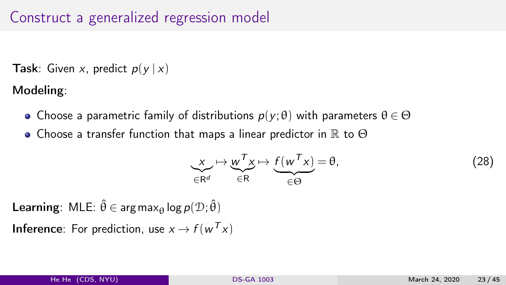### Construct a generalized regression model

**Task:** Given x, predict  $p(y | x)$ 

Modeling:

- Choose a parametric family of distributions  $p(y; \theta)$  with parameters  $\theta \in \Theta$
- Choose a transfer function that maps a linear predictor in  $\mathbb R$  to  $\Theta$

$$
\underbrace{x}_{\in \mathbb{R}^d} \mapsto \underbrace{w^T x}_{\in \mathbb{R}} \mapsto \underbrace{f(w^T x)}_{\in \Theta} = \theta, \tag{28}
$$

**Learning:** MLE:  $\hat{\theta} \in \arg \max_{\theta} \log p(\mathcal{D}; \hat{\theta})$ 

**Inference**: For prediction, use  $x \to f(w^T x)$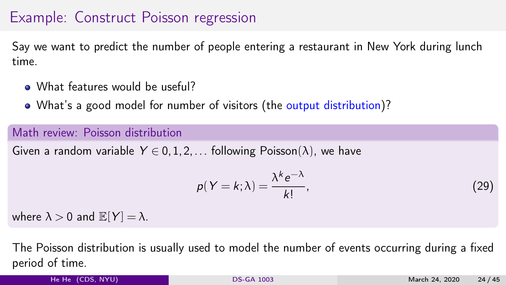## Example: Construct Poisson regression

Say we want to predict the number of people entering a restaurant in New York during lunch time.

- What features would be useful?
- What's a good model for number of visitors (the output distribution)?

#### Math review: Poisson distribution

Given a random variable  $Y \in 0, 1, 2, \ldots$  following Poisson( $\lambda$ ), we have

$$
p(Y = k; \lambda) = \frac{\lambda^k e^{-\lambda}}{k!}.
$$
\n(29)

where  $\lambda > 0$  and  $\mathbb{E}[Y] = \lambda$ .

The Poisson distribution is usually used to model the number of events occurring during a fixed period of time.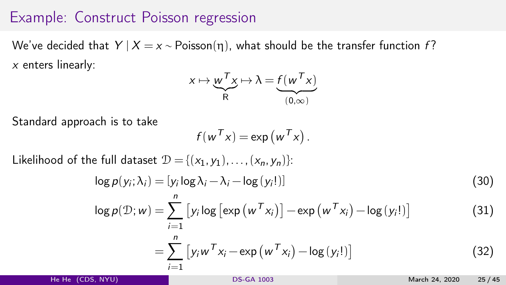#### Example: Construct Poisson regression

We've decided that  $Y | X = x \sim \text{Poisson}(\eta)$ , what should be the transfer function f?  $x$  enters linearly:

$$
x \mapsto \underbrace{w^T x}_{R} \mapsto \lambda = f(\underbrace{w^T x}_{(0,\infty)})
$$

Standard approach is to take

$$
f(w^{\mathsf{T}} x) = \exp(w^{\mathsf{T}} x).
$$

Likelihood of the full dataset  $\mathcal{D} = \{(x_1, y_1), \ldots, (x_n, y_n)\}$ :

$$
\log p(y_i; \lambda_i) = [y_i \log \lambda_i - \lambda_i - \log (y_i])]
$$
\n(30)

$$
\log p(\mathcal{D}; w) = \sum_{i=1}^{n} \left[ y_i \log \left[ \exp \left( w^{\mathcal{T}} x_i \right) \right] - \exp \left( w^{\mathcal{T}} x_i \right) - \log \left( y_i! \right) \right]
$$
(31)

$$
= \sum_{i=1}^{n} \left[ y_i w^T x_i - \exp\left(w^T x_i\right) - \log\left(y_i!\right) \right]
$$
 (32)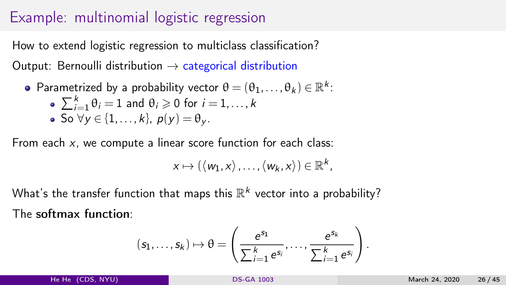### Example: multinomial logistic regression

How to extend logistic regression to multiclass classification? Output: Bernoulli distribution  $\rightarrow$  categorical distribution

Parametrized by a probability vector  $\theta = (\theta_1, \dots, \theta_k) \in \mathbb{R}^k$ :

\n- $$
\sum_{i=1}^{k} \theta_i = 1
$$
 and  $\theta_i \geq 0$  for  $i = 1, \ldots, k$
\n- $\bullet$  So  $\forall y \in \{1, \ldots, k\}, \ p(y) = \theta_y$ .
\n

From each  $x$ , we compute a linear score function for each class:

$$
x \mapsto (\langle w_1, x \rangle, \ldots, \langle w_k, x \rangle) \in \mathbb{R}^k,
$$

What's the transfer function that maps this  $\mathbb{R}^k$  vector into a probability? The softmax function:

$$
(s_1,\ldots,s_k)\mapsto \theta=\left(\frac{e^{s_1}}{\sum_{i=1}^k e^{s_i}},\ldots,\frac{e^{s_k}}{\sum_{i=1}^k e^{s_i}}\right).
$$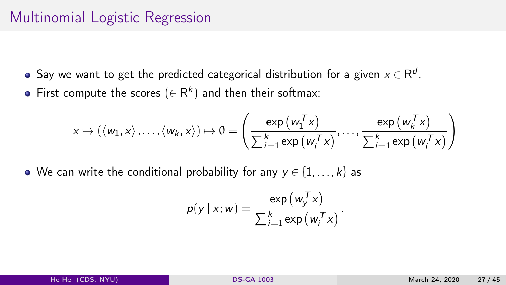## Multinomial Logistic Regression

- Say we want to get the predicted categorical distribution for a given  $x \in \mathsf{R}^{\mathsf{d}}.$
- First compute the scores  $(\in \mathsf{R}^k)$  and then their softmax:

$$
x \mapsto (\langle w_1, x \rangle, \dots, \langle w_k, x \rangle) \mapsto \theta = \left( \frac{\exp(w_1^T x)}{\sum_{i=1}^k \exp(w_i^T x)}, \dots, \frac{\exp(w_k^T x)}{\sum_{i=1}^k \exp(w_i^T x)} \right)
$$

• We can write the conditional probability for any  $y \in \{1, ..., k\}$  as

$$
p(y | x; w) = \frac{\exp(w_y^T x)}{\sum_{i=1}^k \exp(w_i^T x)}.
$$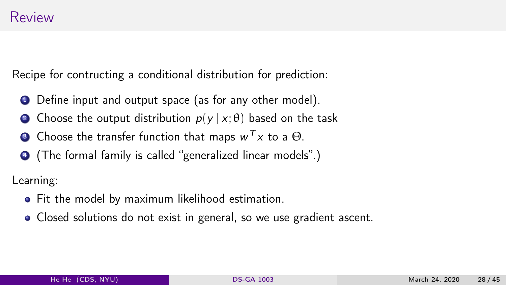Recipe for contructing a conditional distribution for prediction:

- **1** Define input and output space (as for any other model).
- **2** Choose the output distribution  $p(y | x; \theta)$  based on the task
- $\bullet$  Choose the transfer function that maps  $w^{\mathcal{T}} x$  to a  $\Theta.$
- <sup>4</sup> (The formal family is called "generalized linear models".)

Learning:

- Fit the model by maximum likelihood estimation.
- Closed solutions do not exist in general, so we use gradient ascent.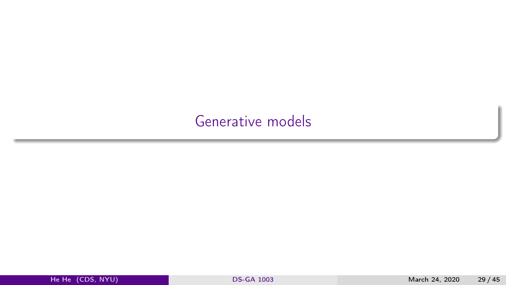## <span id="page-28-0"></span>[Generative models](#page-28-0)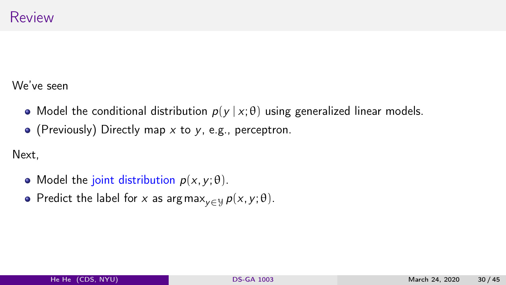We've seen

- Model the conditional distribution  $p(y | x; \theta)$  using generalized linear models.
- (Previously) Directly map  $x$  to  $y$ , e.g., perceptron.

Next,

- Model the joint distribution  $p(x, y; \theta)$ .
- Predict the label for x as argmax<sub>v∈Y</sub>  $p(x, y; \theta)$ .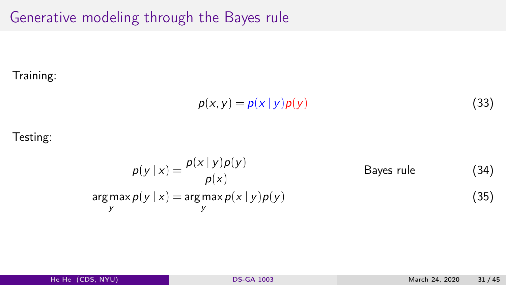Generative modeling through the Bayes rule

#### Training:

$$
p(x, y) = p(x | y) p(y)
$$
\n(33)

#### Testing:

$$
p(y | x) = \frac{p(x | y)p(y)}{p(x)}
$$
 Bayes rule (34)  
argmax<sub>y</sub> p(y | x) = argmax<sub>y</sub> p(x | y)p(y) (35)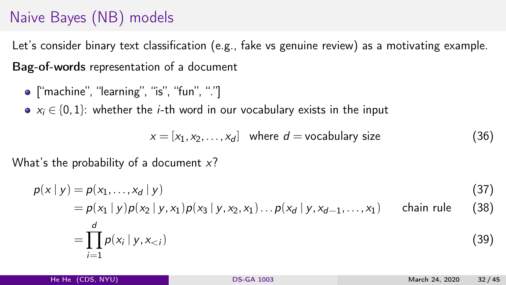# <span id="page-31-0"></span>Naive Bayes (NB) models

Let's consider binary text classification (e.g., fake vs genuine review) as a motivating example. Bag-of-words representation of a document

 $\bullet$  ["machine", "learning", "is", "fun", "."]

•  $x_i \in \{0,1\}$ : whether the *i*-th word in our vocabulary exists in the input

 $x = [x_1, x_2, \ldots, x_d]$  where  $d =$  vocabulary size (36)

What's the probability of a document  $x$ ?

$$
p(x | y) = p(x_1, \dots, x_d | y) \tag{37}
$$

$$
= p(x_1 | y) p(x_2 | y, x_1) p(x_3 | y, x_2, x_1) \dots p(x_d | y, x_{d-1}, \dots, x_1)
$$
 chain rule (38)

$$
= \prod_{i=1}^{d} p(x_i \mid y, x_{< i}) \tag{39}
$$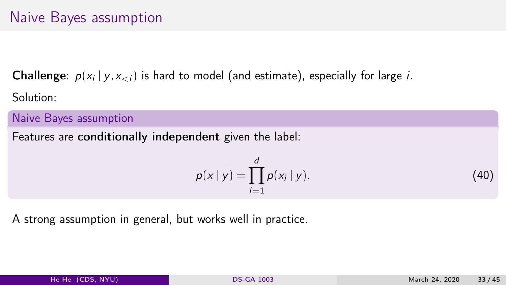**Challenge**:  $p(x_i | y, x_{< i})$  is hard to model (and estimate), especially for large *i*. Solution:

Naive Bayes assumption

Features are conditionally independent given the label:

$$
p(x | y) = \prod_{i=1}^{d} p(x_i | y).
$$
 (40)

A strong assumption in general, but works well in practice.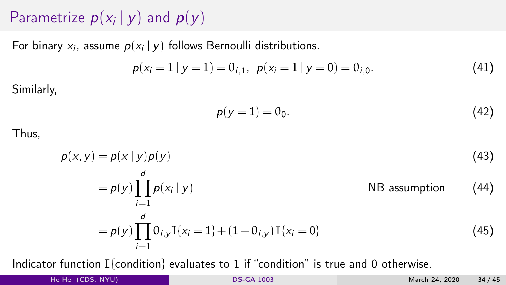# Parametrize  $p(x_i | y)$  and  $p(y)$

For binary  $x_i$ , assume  $p(x_i | y)$  follows Bernoulli distributions.

$$
p(x_i = 1 | y = 1) = \theta_{i,1}, p(x_i = 1 | y = 0) = \theta_{i,0}.
$$
 (41)

Similarly,

$$
p(y=1) = \theta_0. \tag{42}
$$

Thus,

$$
p(x, y) = p(x | y)p(y)
$$
\n
$$
= p(y) \prod_{i=1}^{d} p(x_i | y)
$$
\n
$$
= p(y) \prod_{i=1}^{d} \theta_{i,y} \mathbb{I}\{x_i = 1\} + (1 - \theta_{i,y}) \mathbb{I}\{x_i = 0\}
$$
\n
$$
(45)
$$

Indicator function  $\mathbb{I}\{\text{condition}\}$  evaluates to 1 if "condition" is true and 0 otherwise.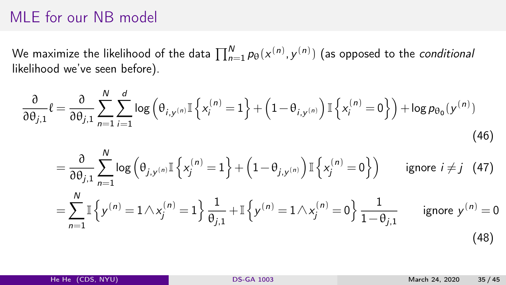### MLE for our NB model

We maximize the likelihood of the data  $\prod_{n=1}^N p_\theta({x^{(n)}, y^{(n)}})$  (as opposed to the *conditional* likelihood we've seen before).

$$
\frac{\partial}{\partial \theta_{j,1}} \ell = \frac{\partial}{\partial \theta_{j,1}} \sum_{n=1}^{N} \sum_{i=1}^{d} \log \left( \theta_{i,y^{(n)}} \mathbb{I} \left\{ x_i^{(n)} = 1 \right\} + \left( 1 - \theta_{i,y^{(n)}} \right) \mathbb{I} \left\{ x_i^{(n)} = 0 \right\} \right) + \log p_{\theta_0}(y^{(n)})
$$
\n
$$
= \frac{\partial}{\partial \theta_{j,1}} \sum_{n=1}^{N} \log \left( \theta_{j,y^{(n)}} \mathbb{I} \left\{ x_j^{(n)} = 1 \right\} + \left( 1 - \theta_{j,y^{(n)}} \right) \mathbb{I} \left\{ x_j^{(n)} = 0 \right\} \right) \qquad \text{ignore } i \neq j \quad (47)
$$

$$
= \sum_{n=1}^{N} \mathbb{I} \left\{ y^{(n)} = 1 \wedge x_j^{(n)} = 1 \right\} \frac{1}{\theta_{j,1}} + \mathbb{I} \left\{ y^{(n)} = 1 \wedge x_j^{(n)} = 0 \right\} \frac{1}{1 - \theta_{j,1}} \quad \text{ignore } y^{(n)} = 0
$$
\n(48)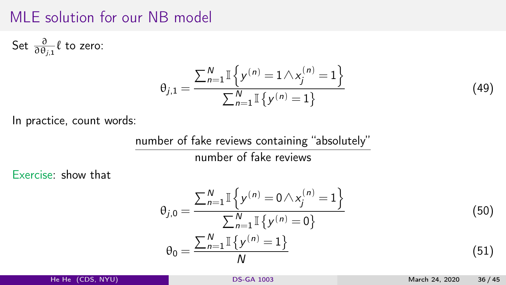#### MLE solution for our NB model

Set  $\frac{\partial}{\partial \theta_{j,1}} \ell$  to zero:

$$
\theta_{j,1} = \frac{\sum_{n=1}^{N} \mathbb{I}\left\{y^{(n)} = 1 \wedge x_j^{(n)} = 1\right\}}{\sum_{n=1}^{N} \mathbb{I}\left\{y^{(n)} = 1\right\}}
$$
(49)

In practice, count words:

number of fake reviews containing "absolutely" number of fake reviews

Exercise: show that

$$
\theta_{j,0} = \frac{\sum_{n=1}^{N} \mathbb{I}\left\{y^{(n)} = 0 \wedge x_j^{(n)} = 1\right\}}{\sum_{n=1}^{N} \mathbb{I}\left\{y^{(n)} = 0\right\}}
$$
\n
$$
\theta_0 = \frac{\sum_{n=1}^{N} \mathbb{I}\left\{y^{(n)} = 1\right\}}{N}
$$
\n(50)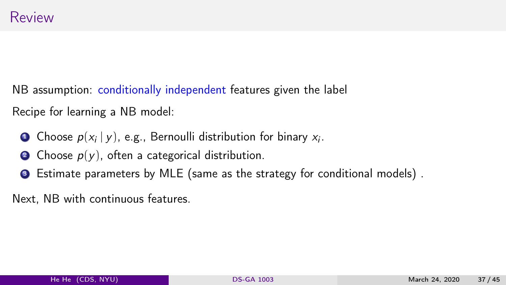NB assumption: conditionally independent features given the label Recipe for learning a NB model:

- **D** Choose  $p(x_i | y)$ , e.g., Bernoulli distribution for binary  $x_i$ .
- **2** Choose  $p(y)$ , often a categorical distribution.
- <sup>3</sup> Estimate parameters by MLE (same as the strategy for conditional models) .

Next, NB with continuous features.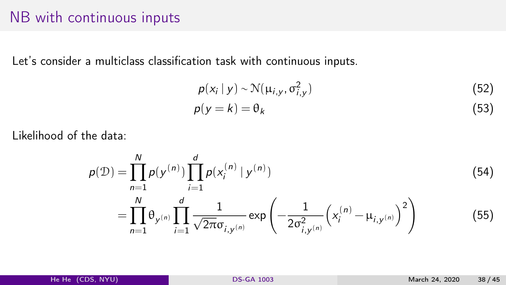#### <span id="page-37-0"></span>NB with continuous inputs

Let's consider a multiclass classification task with continuous inputs.

$$
p(x_i | y) \sim \mathcal{N}(\mu_{i,y}, \sigma_{i,y}^2)
$$
 (52)

$$
p(y=k) = \theta_k \tag{53}
$$

Likelihood of the data:

$$
p(\mathcal{D}) = \prod_{n=1}^{N} p(y^{(n)}) \prod_{i=1}^{d} p(x_i^{(n)} | y^{(n)})
$$
(54)  

$$
= \prod_{n=1}^{N} \theta_{y^{(n)}} \prod_{i=1}^{d} \frac{1}{\sqrt{2\pi} \sigma_{i,y^{(n)}}} \exp\left(-\frac{1}{2\sigma_{i,y^{(n)}}^2} \left(x_i^{(n)} - \mu_{i,y^{(n)}}\right)^2\right)
$$
(55)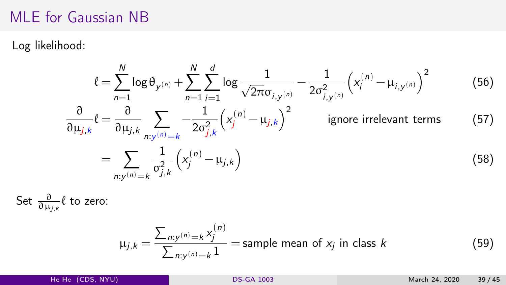#### MLE for Gaussian NB

Log likelihood:

$$
\ell = \sum_{n=1}^{N} \log \theta_{y^{(n)}} + \sum_{n=1}^{N} \sum_{i=1}^{d} \log \frac{1}{\sqrt{2\pi} \sigma_{i,y^{(n)}}} - \frac{1}{2\sigma_{i,y^{(n)}}^2} \left(x_i^{(n)} - \mu_{i,y^{(n)}}\right)^2
$$
(56)  

$$
\frac{\partial}{\partial \mu_{j,k}} \ell = \frac{\partial}{\partial \mu_{j,k}} \sum_{n:y^{(n)}=k} \frac{1}{2\sigma_{j,k}^2} \left(x_j^{(n)} - \mu_{j,k}\right)^2
$$
 ignore irrelevant terms (57)  

$$
= \sum_{n:y^{(n)}=k} \frac{1}{\sigma_{j,k}^2} \left(x_j^{(n)} - \mu_{j,k}\right)
$$
(58)

Set  $\frac{\partial}{\partial \mu_{j,k}}\ell$  to zero:

$$
\mu_{j,k} = \frac{\sum_{n:y^{(n)}=k} x_j^{(n)}}{\sum_{n:y^{(n)}=k} 1}
$$
 = sample mean of  $x_j$  in class  $k$  (59)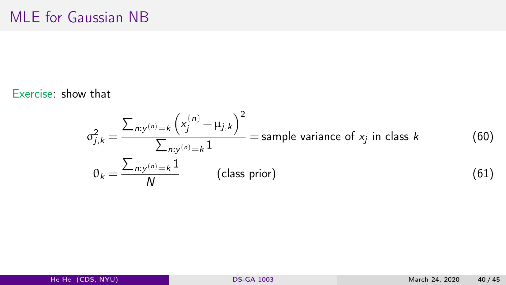Exercise: show that

$$
\sigma_{j,k}^2 = \frac{\sum_{n:y^{(n)}=k} \left(x_j^{(n)} - \mu_{j,k}\right)^2}{\sum_{n:y^{(n)}=k} 1}
$$
 = sample variance of  $x_j$  in class  $k$  (60)  
\n
$$
\theta_k = \frac{\sum_{n:y^{(n)}=k} 1}{N}
$$
 (class prior) (61)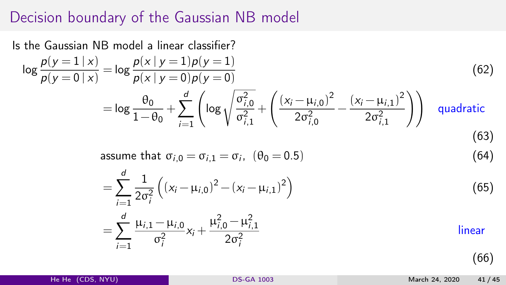## Decision boundary of the Gaussian NB model

Is the Gaussian NB model a linear classifier?  $\log \frac{p(y=1 | x)}{p(y=0 | x)} = \log \frac{p(x | y=1) p(y=1)}{p(x | y=0) p(y=0)}$ (62)  $=$  log  $\frac{\theta_0}{1-\theta}$  $\frac{\theta_0}{1-\theta_0} + \sum_{i=1}^d \left( \log \sqrt{\frac{\sigma_{i,0}^2}{\sigma_{i,1}^2}} \right)$  $i=1$  $\sigma_{i,1}^2$  $+$  $\int (x_i - \mu_{i,0})^2$  $2\sigma_{i,0}^2$  $-\frac{(x_i-\mu_{i,1})^2}{2^2}$  $2\sigma_{i,1}^2$ quadratic (63) assume that  $\sigma_{i,0} = \sigma_{i,1} = \sigma_i$ ,  $(\theta_0 = 0.5)$  (64)  $=\sum^d$  $i=1$ 1  $2\sigma_i^2$  $((x_i - \mu_{i,0})^2 - (x_i - \mu_{i,1})^2)$ (65)  $=\sum^d$  $i=1$  $\mu_{i,1} - \mu_{i,0}$  $\sigma_i^2$  $x_i +$  $\mu_{i,0}^2 - \mu_{i,1}^2$  $2\sigma_i^2$ linear

(66)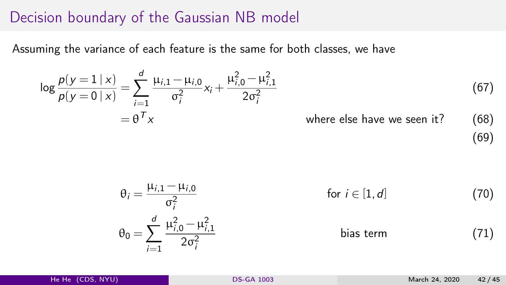### Decision boundary of the Gaussian NB model

Assuming the variance of each feature is the same for both classes, we have

$$
\log \frac{p(y=1 \mid x)}{p(y=0 \mid x)} = \sum_{i=1}^{d} \frac{\mu_{i,1} - \mu_{i,0}}{\sigma_i^2} x_i + \frac{\mu_{i,0}^2 - \mu_{i,1}^2}{2\sigma_i^2}
$$
\n
$$
= \theta^T x
$$
\n(67)

\nwhere else have we seen it?

$$
\theta_{i} = \frac{\mu_{i,1} - \mu_{i,0}}{\sigma_{i}^{2}} \qquad \text{for } i \in [1, d] \qquad (70)
$$
\n
$$
\theta_{0} = \sum_{i=1}^{d} \frac{\mu_{i,0}^{2} - \mu_{i,1}^{2}}{2\sigma_{i}^{2}} \qquad \text{bias term} \qquad (71)
$$

(69)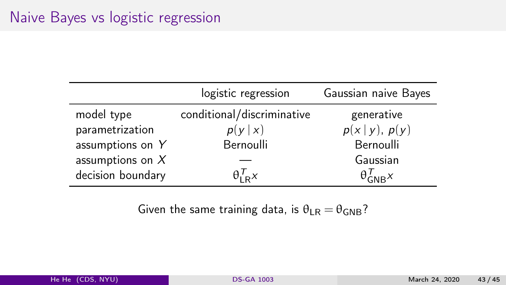|                    | logistic regression        | Gaussian naive Bayes    |
|--------------------|----------------------------|-------------------------|
| model type         | conditional/discriminative | generative              |
| parametrization    | p(y x)                     | $p(x y)$ , $p(y)$       |
| assumptions on Y   | Bernoulli                  | Bernoulli               |
| assumptions on $X$ |                            | Gaussian                |
| decision boundary  | $\theta_{LR}^I$            | $\theta_{\text{GNR}}^I$ |

Given the same training data, is  $\theta_{LR} = \theta_{GNR}$ ?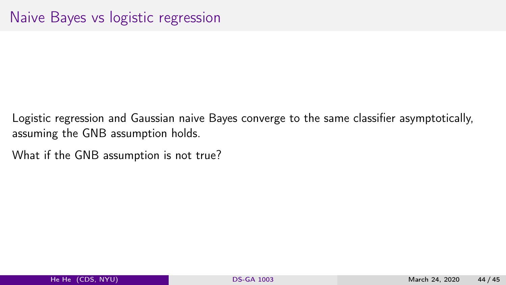- Logistic regression and Gaussian naive Bayes converge to the same classifier asymptotically, assuming the GNB assumption holds.
- What if the GNB assumption is not true?